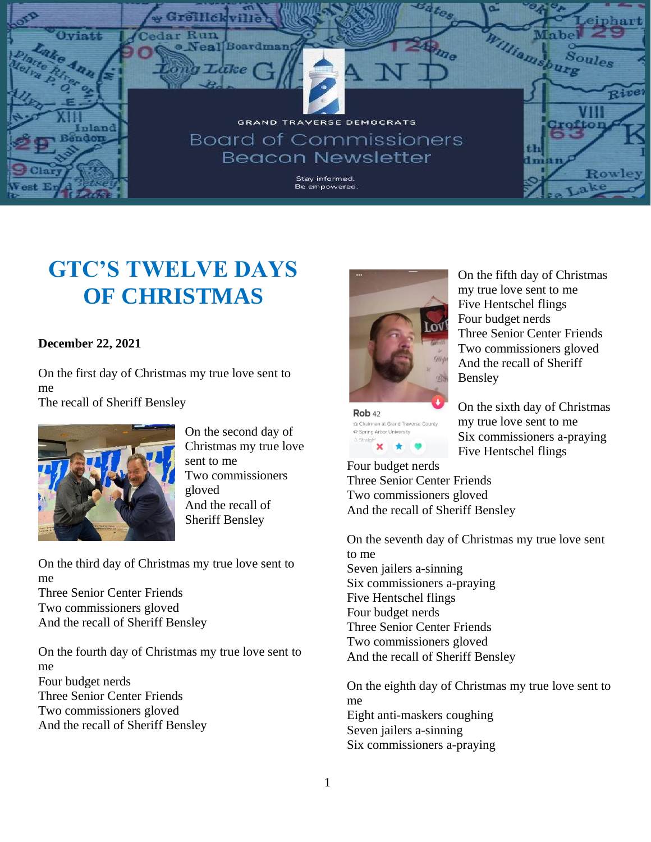

## **GTC'S TWELVE DAYS OF CHRISTMAS**

## **December 22, 2021**

On the first day of Christmas my true love sent to me

The recall of Sheriff Bensley



On the second day of Christmas my true love sent to me Two commissioners gloved And the recall of Sheriff Bensley

On the third day of Christmas my true love sent to me Three Senior Center Friends Two commissioners gloved

And the recall of Sheriff Bensley

On the fourth day of Christmas my true love sent to me Four budget nerds Three Senior Center Friends Two commissioners gloved And the recall of Sheriff Bensley



Rob<sub>42</sub> th Chairman at Grand Traverse County ← Spring Arbor University  $\star$ 

On the fifth day of Christmas my true love sent to me Five Hentschel flings Four budget nerds Three Senior Center Friends Two commissioners gloved And the recall of Sheriff Bensley

On the sixth day of Christmas my true love sent to me Six commissioners a-praying Five Hentschel flings

Four budget nerds Three Senior Center Friends Two commissioners gloved And the recall of Sheriff Bensley

On the seventh day of Christmas my true love sent to me Seven jailers a-sinning Six commissioners a-praying Five Hentschel flings Four budget nerds Three Senior Center Friends Two commissioners gloved And the recall of Sheriff Bensley

On the eighth day of Christmas my true love sent to me Eight anti-maskers coughing Seven jailers a-sinning Six commissioners a-praying